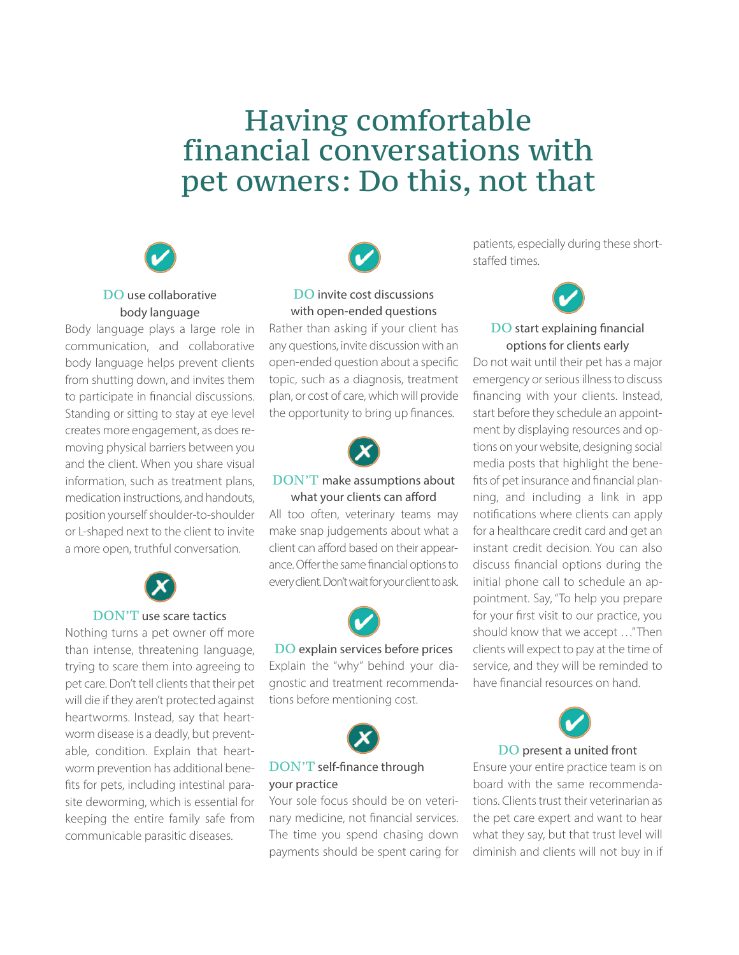# Having comfortable financial conversations with pet owners: Do this, not that



# DO use collaborative body language

Body language plays a large role in communication, and collaborative body language helps prevent clients from shutting down, and invites them to participate in financial discussions. Standing or sitting to stay at eye level creates more engagement, as does removing physical barriers between you and the client. When you share visual information, such as treatment plans, medication instructions, and handouts, position yourself shoulder-to-shoulder or L-shaped next to the client to invite a more open, truthful conversation.



## DON'T use scare tactics

Nothing turns a pet owner off more than intense, threatening language, trying to scare them into agreeing to pet care. Don't tell clients that their pet will die if they aren't protected against heartworms. Instead, say that heartworm disease is a deadly, but preventable, condition. Explain that heartworm prevention has additional benefits for pets, including intestinal parasite deworming, which is essential for keeping the entire family safe from communicable parasitic diseases.



## DO invite cost discussions with open-ended questions

Rather than asking if your client has any questions, invite discussion with an open-ended question about a specific topic, such as a diagnosis, treatment plan, or cost of care, which will provide the opportunity to bring up finances.



## DON'T make assumptions about what your clients can afford

All too often, veterinary teams may make snap judgements about what a client can afford based on their appearance. Offer the same financial options to every client. Don't wait for your client to ask.



## DO explain services before prices Explain the "why" behind your dia-

gnostic and treatment recommendations before mentioning cost.



## DON'T self-finance through your practice

Your sole focus should be on veterinary medicine, not financial services. The time you spend chasing down payments should be spent caring for

patients, especially during these shortstaffed times.



## DO start explaining financial options for clients early

Do not wait until their pet has a major emergency or serious illness to discuss financing with your clients. Instead, start before they schedule an appointment by displaying resources and options on your website, designing social media posts that highlight the benefits of pet insurance and financial planning, and including a link in app notifications where clients can apply for a healthcare credit card and get an instant credit decision. You can also discuss financial options during the initial phone call to schedule an appointment. Say, "To help you prepare for your first visit to our practice, you should know that we accept …" Then clients will expect to pay at the time of service, and they will be reminded to have financial resources on hand.



#### DO present a united front

Ensure your entire practice team is on board with the same recommendations. Clients trust their veterinarian as the pet care expert and want to hear what they say, but that trust level will diminish and clients will not buy in if